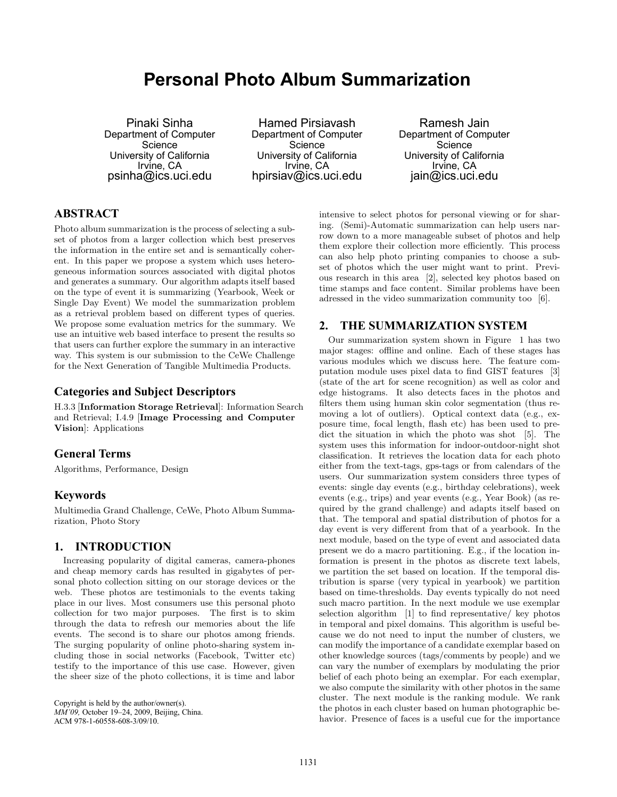# **Personal Photo Album Summarization**

Pinaki Sinha Department of Computer Science University of California Irvine, CA psinha@ics.uci.edu

Hamed Pirsiavash Department of Computer Science University of California Irvine, CA hpirsiav@ics.uci.edu

Ramesh Jain Department of Computer Science University of California Irvine, CA jain@ics.uci.edu

# **ABSTRACT**

Photo album summarization is the process of selecting a subset of photos from a larger collection which best preserves the information in the entire set and is semantically coherent. In this paper we propose a system which uses heterogeneous information sources associated with digital photos and generates a summary. Our algorithm adapts itself based on the type of event it is summarizing (Yearbook, Week or Single Day Event) We model the summarization problem as a retrieval problem based on different types of queries. We propose some evaluation metrics for the summary. We use an intuitive web based interface to present the results so that users can further explore the summary in an interactive way. This system is our submission to the CeWe Challenge for the Next Generation of Tangible Multimedia Products.

### **Categories and Subject Descriptors**

H.3.3 [Information Storage Retrieval]: Information Search and Retrieval; I.4.9 [Image Processing and Computer Vision]: Applications

## **General Terms**

Algorithms, Performance, Design

## **Keywords**

Multimedia Grand Challenge, CeWe, Photo Album Summarization, Photo Story

## **1. INTRODUCTION**

Increasing popularity of digital cameras, camera-phones and cheap memory cards has resulted in gigabytes of personal photo collection sitting on our storage devices or the web. These photos are testimonials to the events taking place in our lives. Most consumers use this personal photo collection for two major purposes. The first is to skim through the data to refresh our memories about the life events. The second is to share our photos among friends. The surging popularity of online photo-sharing system including those in social networks (Facebook, Twitter etc) testify to the importance of this use case. However, given the sheer size of the photo collections, it is time and labor

Copyright is held by the author/owner(s). *MM'09,* October 19–24, 2009, Beijing, China. ACM 978-1-60558-608-3/09/10.

intensive to select photos for personal viewing or for sharing. (Semi)-Automatic summarization can help users narrow down to a more manageable subset of photos and help them explore their collection more efficiently. This process can also help photo printing companies to choose a subset of photos which the user might want to print. Previous research in this area [2], selected key photos based on time stamps and face content. Similar problems have been adressed in the video summarization community too [6].

### **2. THE SUMMARIZATION SYSTEM**

Our summarization system shown in Figure 1 has two major stages: offline and online. Each of these stages has various modules which we discuss here. The feature computation module uses pixel data to find GIST features [3] (state of the art for scene recognition) as well as color and edge histograms. It also detects faces in the photos and filters them using human skin color segmentation (thus removing a lot of outliers). Optical context data (e.g., exposure time, focal length, flash etc) has been used to predict the situation in which the photo was shot [5]. The system uses this information for indoor-outdoor-night shot classification. It retrieves the location data for each photo either from the text-tags, gps-tags or from calendars of the users. Our summarization system considers three types of events: single day events (e.g., birthday celebrations), week events (e.g., trips) and year events (e.g., Year Book) (as required by the grand challenge) and adapts itself based on that. The temporal and spatial distribution of photos for a day event is very different from that of a yearbook. In the next module, based on the type of event and associated data present we do a macro partitioning. E.g., if the location information is present in the photos as discrete text labels, we partition the set based on location. If the temporal distribution is sparse (very typical in yearbook) we partition based on time-thresholds. Day events typically do not need such macro partition. In the next module we use exemplar selection algorithm [1] to find representative/ key photos in temporal and pixel domains. This algorithm is useful because we do not need to input the number of clusters, we can modify the importance of a candidate exemplar based on other knowledge sources (tags/comments by people) and we can vary the number of exemplars by modulating the prior belief of each photo being an exemplar. For each exemplar, we also compute the similarity with other photos in the same cluster. The next module is the ranking module. We rank the photos in each cluster based on human photographic behavior. Presence of faces is a useful cue for the importance